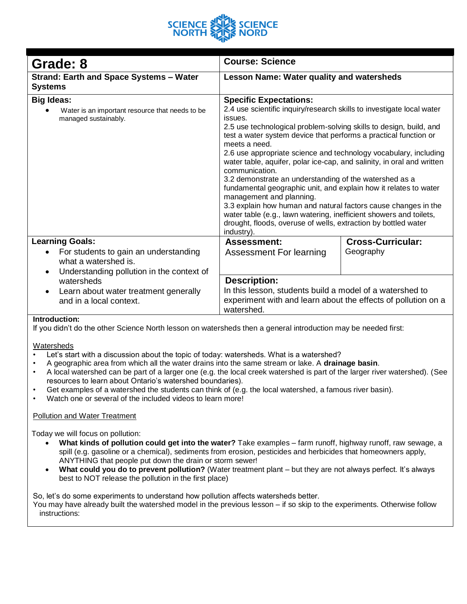

| Grade: 8                                                                                                                                 | <b>Course: Science</b>                                                                                                                                                                                                                                                                                                                                                                                                                                                                                                                                                                                                                                                                                                                                                                                                         |                                       |
|------------------------------------------------------------------------------------------------------------------------------------------|--------------------------------------------------------------------------------------------------------------------------------------------------------------------------------------------------------------------------------------------------------------------------------------------------------------------------------------------------------------------------------------------------------------------------------------------------------------------------------------------------------------------------------------------------------------------------------------------------------------------------------------------------------------------------------------------------------------------------------------------------------------------------------------------------------------------------------|---------------------------------------|
| <b>Strand: Earth and Space Systems - Water</b><br><b>Systems</b>                                                                         | <b>Lesson Name: Water quality and watersheds</b>                                                                                                                                                                                                                                                                                                                                                                                                                                                                                                                                                                                                                                                                                                                                                                               |                                       |
| <b>Big Ideas:</b><br>Water is an important resource that needs to be<br>managed sustainably.                                             | <b>Specific Expectations:</b><br>2.4 use scientific inquiry/research skills to investigate local water<br>issues.<br>2.5 use technological problem-solving skills to design, build, and<br>test a water system device that performs a practical function or<br>meets a need.<br>2.6 use appropriate science and technology vocabulary, including<br>water table, aquifer, polar ice-cap, and salinity, in oral and written<br>communication.<br>3.2 demonstrate an understanding of the watershed as a<br>fundamental geographic unit, and explain how it relates to water<br>management and planning.<br>3.3 explain how human and natural factors cause changes in the<br>water table (e.g., lawn watering, inefficient showers and toilets,<br>drought, floods, overuse of wells, extraction by bottled water<br>industry). |                                       |
| <b>Learning Goals:</b><br>For students to gain an understanding<br>what a watershed is.                                                  | <b>Assessment:</b><br>Assessment For learning                                                                                                                                                                                                                                                                                                                                                                                                                                                                                                                                                                                                                                                                                                                                                                                  | <b>Cross-Curricular:</b><br>Geography |
| Understanding pollution in the context of<br>$\bullet$<br>watersheds<br>Learn about water treatment generally<br>and in a local context. | <b>Description:</b><br>In this lesson, students build a model of a watershed to<br>experiment with and learn about the effects of pollution on a<br>watershed.                                                                                                                                                                                                                                                                                                                                                                                                                                                                                                                                                                                                                                                                 |                                       |

## **Introduction:**

If you didn't do the other Science North lesson on watersheds then a general introduction may be needed first:

#### **Watersheds**

- Let's start with a discussion about the topic of today: watersheds. What is a watershed?
- A geographic area from which all the water drains into the same stream or lake. A **drainage basin**.
- A local watershed can be part of a larger one (e.g. the local creek watershed is part of the larger river watershed). (See resources to learn about Ontario's watershed boundaries).
- Get examples of a watershed the students can think of (e.g. the local watershed, a famous river basin).
- Watch one or several of the included videos to learn more!

#### Pollution and Water Treatment

Today we will focus on pollution:

- **What kinds of pollution could get into the water?** Take examples farm runoff, highway runoff, raw sewage, a spill (e.g. gasoline or a chemical), sediments from erosion, pesticides and herbicides that homeowners apply, ANYTHING that people put down the drain or storm sewer!
- **What could you do to prevent pollution?** (Water treatment plant but they are not always perfect. It's always best to NOT release the pollution in the first place)

So, let's do some experiments to understand how pollution affects watersheds better. You may have already built the watershed model in the previous lesson – if so skip to the experiments. Otherwise follow instructions: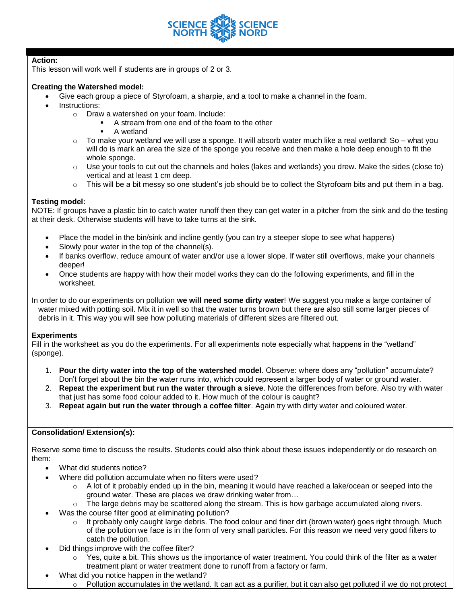

# **Action:**

This lesson will work well if students are in groups of 2 or 3.

# **Creating the Watershed model:**

- Give each group a piece of Styrofoam, a sharpie, and a tool to make a channel in the foam.
	- Instructions:
		- o Draw a watershed on your foam. Include:
			- A stream from one end of the foam to the other
			- A wetland
		- $\circ$  To make your wetland we will use a sponge. It will absorb water much like a real wetland! So what you will do is mark an area the size of the sponge you receive and then make a hole deep enough to fit the whole sponge.
		- $\circ$  Use your tools to cut out the channels and holes (lakes and wetlands) you drew. Make the sides (close to) vertical and at least 1 cm deep.
		- o This will be a bit messy so one student's job should be to collect the Styrofoam bits and put them in a bag.

## **Testing model:**

NOTE: If groups have a plastic bin to catch water runoff then they can get water in a pitcher from the sink and do the testing at their desk. Otherwise students will have to take turns at the sink.

- Place the model in the bin/sink and incline gently (you can try a steeper slope to see what happens)
- Slowly pour water in the top of the channel(s).
- If banks overflow, reduce amount of water and/or use a lower slope. If water still overflows, make your channels deeper!
- Once students are happy with how their model works they can do the following experiments, and fill in the worksheet.

In order to do our experiments on pollution **we will need some dirty water**! We suggest you make a large container of water mixed with potting soil. Mix it in well so that the water turns brown but there are also still some larger pieces of debris in it. This way you will see how polluting materials of different sizes are filtered out.

## **Experiments**

Fill in the worksheet as you do the experiments. For all experiments note especially what happens in the "wetland" (sponge).

- 1. **Pour the dirty water into the top of the watershed model**. Observe: where does any "pollution" accumulate? Don't forget about the bin the water runs into, which could represent a larger body of water or ground water.
- 2. **Repeat the experiment but run the water through a sieve**. Note the differences from before. Also try with water that just has some food colour added to it. How much of the colour is caught?
- 3. **Repeat again but run the water through a coffee filter**. Again try with dirty water and coloured water.

## **Consolidation/ Extension(s):**

Reserve some time to discuss the results. Students could also think about these issues independently or do research on them:

- What did students notice?
- Where did pollution accumulate when no filters were used?
	- o A lot of it probably ended up in the bin, meaning it would have reached a lake/ocean or seeped into the ground water. These are places we draw drinking water from…
	- $\circ$  The large debris may be scattered along the stream. This is how garbage accumulated along rivers.
- Was the course filter good at eliminating pollution?
	- It probably only caught large debris. The food colour and finer dirt (brown water) goes right through. Much of the pollution we face is in the form of very small particles. For this reason we need very good filters to catch the pollution.
- Did things improve with the coffee filter?
	- $\circ$  Yes, quite a bit. This shows us the importance of water treatment. You could think of the filter as a water treatment plant or water treatment done to runoff from a factory or farm.
	- What did you notice happen in the wetland?
		- $\circ$  Pollution accumulates in the wetland. It can act as a purifier, but it can also get polluted if we do not protect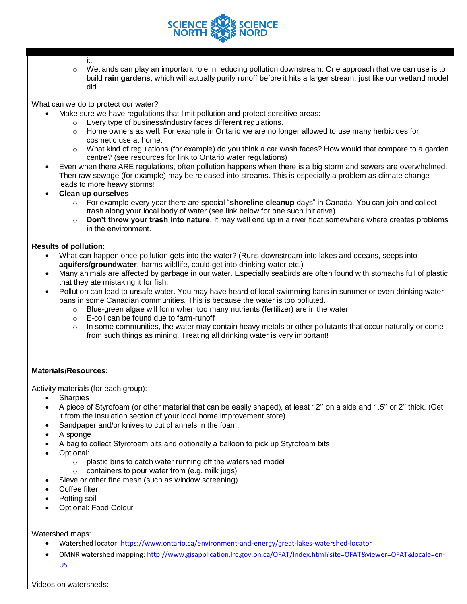

- it.
- o Wetlands can play an important role in reducing pollution downstream. One approach that we can use is to build **rain gardens**, which will actually purify runoff before it hits a larger stream, just like our wetland model did.

What can we do to protect our water?

- Make sure we have regulations that limit pollution and protect sensitive areas:
	- o Every type of business/industry faces different regulations.
	- $\circ$  Home owners as well. For example in Ontario we are no longer allowed to use many herbicides for cosmetic use at home.
	- o What kind of regulations (for example) do you think a car wash faces? How would that compare to a garden centre? (see resources for link to Ontario water regulations)
- Even when there ARE regulations, often pollution happens when there is a big storm and sewers are overwhelmed. Then raw sewage (for example) may be released into streams. This is especially a problem as climate change leads to more heavy storms!
- **Clean up ourselves**
	- o For example every year there are special "**shoreline cleanup** days" in Canada. You can join and collect trash along your local body of water (see link below for one such initiative).
	- o **Don't throw your trash into nature**. It may well end up in a river float somewhere where creates problems in the environment.

## **Results of pollution:**

- What can happen once pollution gets into the water? (Runs downstream into lakes and oceans, seeps into **aquifers/groundwater**, harms wildlife, could get into drinking water etc.)
- Many animals are affected by garbage in our water. Especially seabirds are often found with stomachs full of plastic that they ate mistaking it for fish.
- Pollution can lead to unsafe water. You may have heard of local swimming bans in summer or even drinking water bans in some Canadian communities. This is because the water is too polluted.
	- $\circ$  Blue-green algae will form when too many nutrients (fertilizer) are in the water
	- o E-coli can be found due to farm-runoff
	- o In some communities, the water may contain heavy metals or other pollutants that occur naturally or come from such things as mining. Treating all drinking water is very important!

# **Materials/Resources:**

Activity materials (for each group):

- **Sharpies**
- A piece of Styrofoam (or other material that can be easily shaped), at least 12'' on a side and 1.5'' or 2'' thick. (Get it from the insulation section of your local home improvement store)
- Sandpaper and/or knives to cut channels in the foam.
- A sponge
- A bag to collect Styrofoam bits and optionally a balloon to pick up Styrofoam bits
- Optional:
	- o plastic bins to catch water running off the watershed model
	- o containers to pour water from (e.g. milk jugs)
- Sieve or other fine mesh (such as window screening)
- Coffee filter
- Potting soil
- Optional: Food Colour

Watershed maps:

- Watershed locator:<https://www.ontario.ca/environment-and-energy/great-lakes-watershed-locator>
- OMNR watershed mapping[: http://www.gisapplication.lrc.gov.on.ca/OFAT/Index.html?site=OFAT&viewer=OFAT&locale=en-](http://www.gisapplication.lrc.gov.on.ca/OFAT/Index.html?site=OFAT&viewer=OFAT&locale=en-US)[US](http://www.gisapplication.lrc.gov.on.ca/OFAT/Index.html?site=OFAT&viewer=OFAT&locale=en-US)

Videos on watersheds: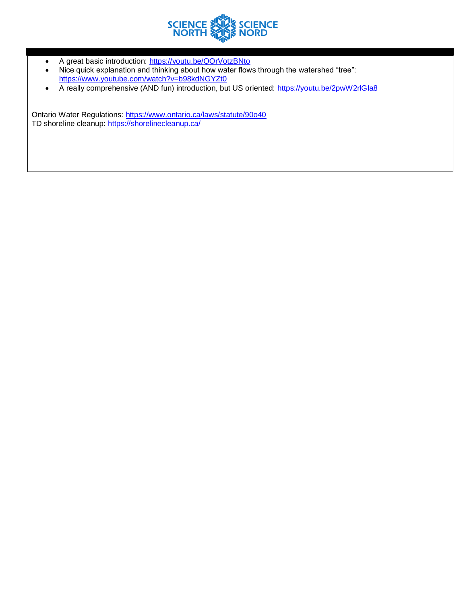

- A great basic introduction:<https://youtu.be/QOrVotzBNto>
- Nice quick explanation and thinking about how water flows through the watershed "tree": <https://www.youtube.com/watch?v=b98kdNGYZt0>
- A really comprehensive (AND fun) introduction, but US oriented: https://youtu.be/2pwW2rlGla8

Ontario Water Regulations:<https://www.ontario.ca/laws/statute/90o40> TD shoreline cleanup:<https://shorelinecleanup.ca/>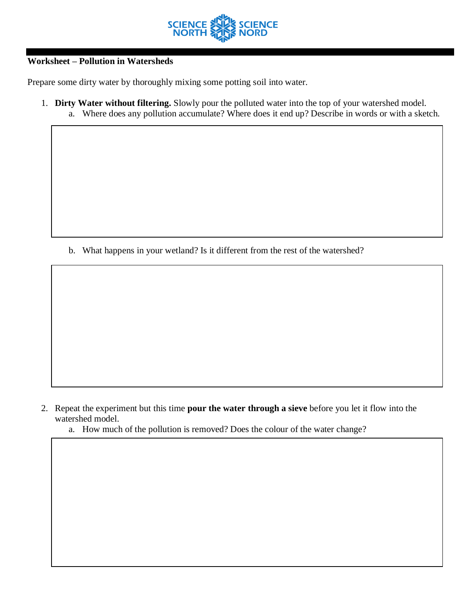

# **Worksheet – Pollution in Watersheds**

Prepare some dirty water by thoroughly mixing some potting soil into water.

1. **Dirty Water without filtering.** Slowly pour the polluted water into the top of your watershed model. a. Where does any pollution accumulate? Where does it end up? Describe in words or with a sketch.

b. What happens in your wetland? Is it different from the rest of the watershed?

- 2. Repeat the experiment but this time **pour the water through a sieve** before you let it flow into the watershed model.
	- a. How much of the pollution is removed? Does the colour of the water change?